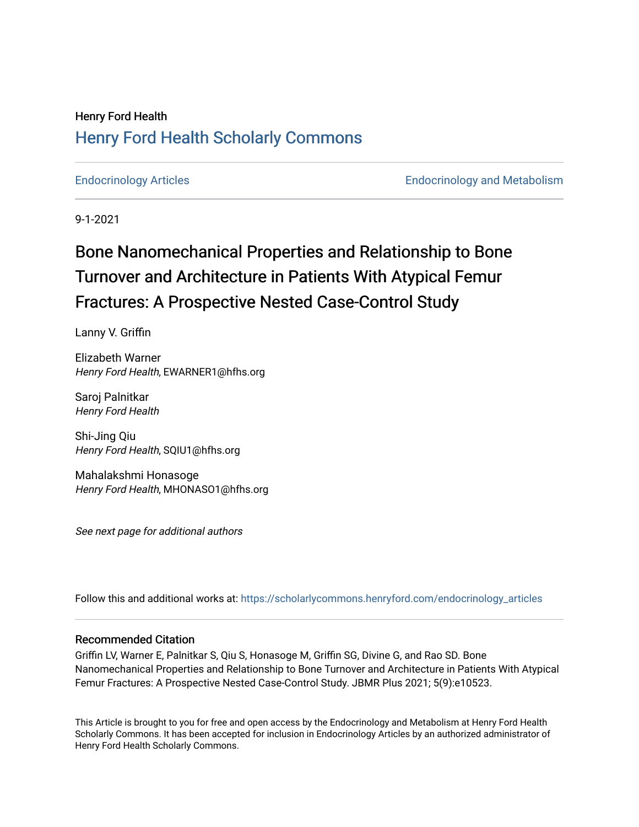## Henry Ford Health [Henry Ford Health Scholarly Commons](https://scholarlycommons.henryford.com/)

[Endocrinology Articles](https://scholarlycommons.henryford.com/endocrinology_articles) [Endocrinology and Metabolism](https://scholarlycommons.henryford.com/endocrinology) 

9-1-2021

# Bone Nanomechanical Properties and Relationship to Bone Turnover and Architecture in Patients With Atypical Femur Fractures: A Prospective Nested Case-Control Study

Lanny V. Griffin

Elizabeth Warner Henry Ford Health, EWARNER1@hfhs.org

Saroj Palnitkar Henry Ford Health

Shi-Jing Qiu Henry Ford Health, SQIU1@hfhs.org

Mahalakshmi Honasoge Henry Ford Health, MHONASO1@hfhs.org

See next page for additional authors

Follow this and additional works at: [https://scholarlycommons.henryford.com/endocrinology\\_articles](https://scholarlycommons.henryford.com/endocrinology_articles?utm_source=scholarlycommons.henryford.com%2Fendocrinology_articles%2F120&utm_medium=PDF&utm_campaign=PDFCoverPages)

## Recommended Citation

Griffin LV, Warner E, Palnitkar S, Qiu S, Honasoge M, Griffin SG, Divine G, and Rao SD. Bone Nanomechanical Properties and Relationship to Bone Turnover and Architecture in Patients With Atypical Femur Fractures: A Prospective Nested Case-Control Study. JBMR Plus 2021; 5(9):e10523.

This Article is brought to you for free and open access by the Endocrinology and Metabolism at Henry Ford Health Scholarly Commons. It has been accepted for inclusion in Endocrinology Articles by an authorized administrator of Henry Ford Health Scholarly Commons.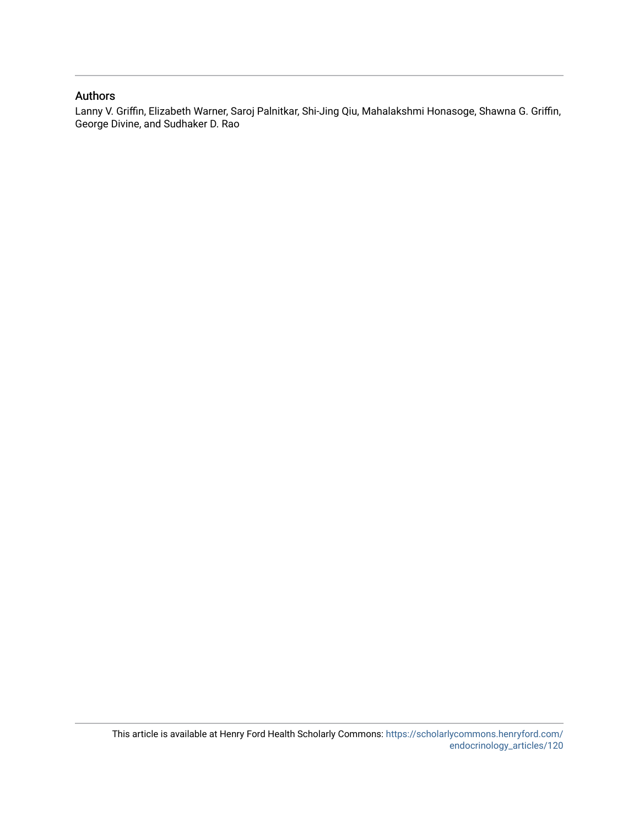## Authors

Lanny V. Griffin, Elizabeth Warner, Saroj Palnitkar, Shi-Jing Qiu, Mahalakshmi Honasoge, Shawna G. Griffin, George Divine, and Sudhaker D. Rao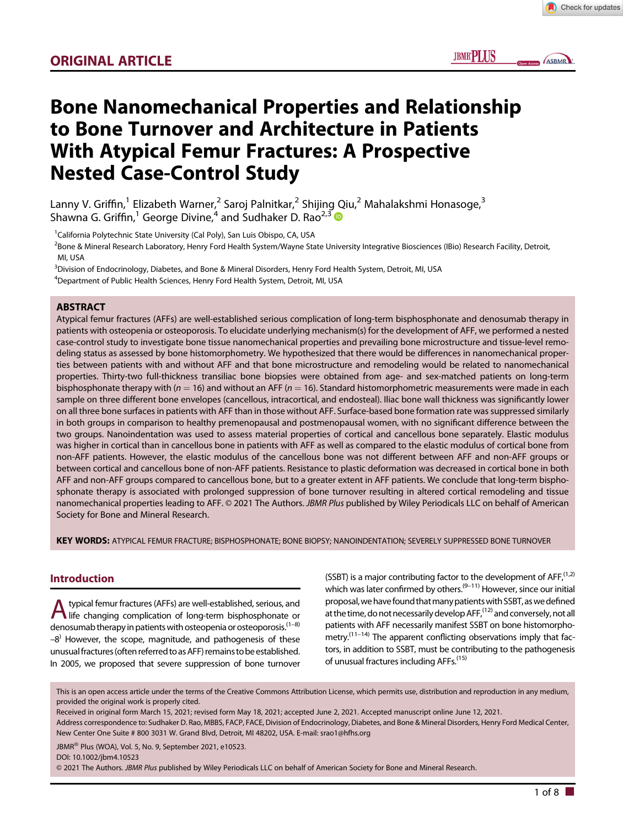**IBMRPIIK** 

ASBMR

## Bone Nanomechanical Properties and Relationship to Bone Turnover and Architecture in Patients With Atypical Femur Fractures: A Prospective Nested Case-Control Study

Lanny V. Griffin,<sup>1</sup> Elizabeth Warner,<sup>2</sup> Saroj Palnitkar,<sup>2</sup> Shijing Qiu,<sup>2</sup> Mahalakshmi Honasoge,<sup>3</sup> Shawna G. Griffin,<sup>1</sup> George Divine,<sup>4</sup> and Sudhaker D. Rao<sup>2,3</sup>

<sup>1</sup>California Polytechnic State University (Cal Poly), San Luis Obispo, CA, USA

<sup>2</sup>Bone & Mineral Research Laboratory, Henry Ford Health System/Wayne State University Integrative Biosciences (IBio) Research Facility, Detroit, MI, USA

3 Division of Endocrinology, Diabetes, and Bone & Mineral Disorders, Henry Ford Health System, Detroit, MI, USA

<sup>4</sup>Department of Public Health Sciences, Henry Ford Health System, Detroit, MI, USA

#### **ABSTRACT**

Atypical femur fractures (AFFs) are well-established serious complication of long-term bisphosphonate and denosumab therapy in patients with osteopenia or osteoporosis. To elucidate underlying mechanism(s) for the development of AFF, we performed a nested case-control study to investigate bone tissue nanomechanical properties and prevailing bone microstructure and tissue-level remodeling status as assessed by bone histomorphometry. We hypothesized that there would be differences in nanomechanical properties between patients with and without AFF and that bone microstructure and remodeling would be related to nanomechanical properties. Thirty-two full-thickness transiliac bone biopsies were obtained from age- and sex-matched patients on long-term bisphosphonate therapy with ( $n = 16$ ) and without an AFF ( $n = 16$ ). Standard histomorphometric measurements were made in each sample on three different bone envelopes (cancellous, intracortical, and endosteal). Iliac bone wall thickness was significantly lower on all three bone surfaces in patients with AFF than in those without AFF. Surface-based bone formation rate was suppressed similarly in both groups in comparison to healthy premenopausal and postmenopausal women, with no significant difference between the two groups. Nanoindentation was used to assess material properties of cortical and cancellous bone separately. Elastic modulus was higher in cortical than in cancellous bone in patients with AFF as well as compared to the elastic modulus of cortical bone from non-AFF patients. However, the elastic modulus of the cancellous bone was not different between AFF and non-AFF groups or between cortical and cancellous bone of non-AFF patients. Resistance to plastic deformation was decreased in cortical bone in both AFF and non-AFF groups compared to cancellous bone, but to a greater extent in AFF patients. We conclude that long-term bisphosphonate therapy is associated with prolonged suppression of bone turnover resulting in altered cortical remodeling and tissue nanomechanical properties leading to AFF. © 2021 The Authors. JBMR Plus published by Wiley Periodicals LLC on behalf of American Society for Bone and Mineral Research.

KEY WORDS: ATYPICAL FEMUR FRACTURE; BISPHOSPHONATE; BONE BIOPSY; NANOINDENTATION; SEVERELY SUPPRESSED BONE TURNOVER

#### Introduction

A typical femur fractures (AFFs) are well-established, serious, and<br>life changing complication of long-term bisphosphonate or denosumab therapy in patients with osteopenia or osteoporosis.<sup>(1-8)</sup>  $-8$ <sup>)</sup> However, the scope, magnitude, and pathogenesis of these unusualfractures(often referred toasAFF) remains to be established. In 2005, we proposed that severe suppression of bone turnover

(SSBT) is a major contributing factor to the development of  $AFF<sub>i</sub><sup>(1,2)</sup>$ which was later confirmed by others.<sup>(9–11)</sup> However, since our initial proposal, we have found that many patients with SSBT, as we defined at the time, do not necessarily develop  $\text{AFF}_{i}^{(12)}$  and conversely, not all patients with AFF necessarily manifest SSBT on bone histomorphometry.<sup> $(11-14)$ </sup> The apparent conflicting observations imply that factors, in addition to SSBT, must be contributing to the pathogenesis of unusual fractures including AFFs.<sup>(15)</sup>

This is an open access article under the terms of the [Creative Commons Attribution](http://creativecommons.org/licenses/by/4.0/) License, which permits use, distribution and reproduction in any medium, provided the original work is properly cited.

Received in original form March 15, 2021; revised form May 18, 2021; accepted June 2, 2021. Accepted manuscript online June 12, 2021. Address correspondence to: Sudhaker D. Rao, MBBS, FACP, FACE, Division of Endocrinology, Diabetes, and Bone & Mineral Disorders, Henry Ford Medical Center, New Center One Suite # 800 3031 W. Grand Blvd, Detroit, MI 48202, USA. E-mail: [srao1@hfhs.org](mailto:srao1@hfhs.org)

JBMR<sup>®</sup> Plus (WOA), Vol. 5, No. 9, September 2021, e10523.

DOI: 10.1002/jbm4.10523

© 2021 The Authors. JBMR Plus published by Wiley Periodicals LLC on behalf of American Society for Bone and Mineral Research.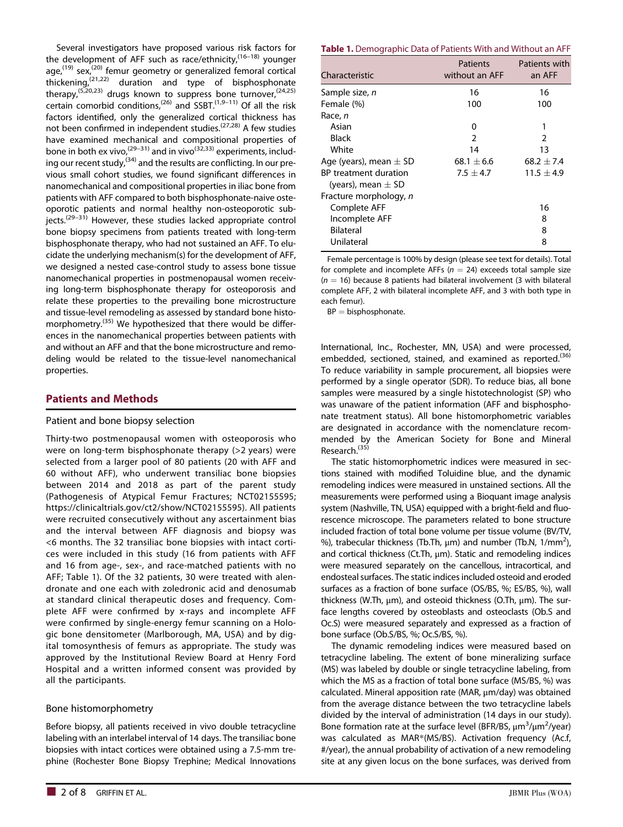Several investigators have proposed various risk factors for the development of AFF such as race/ethnicity, $(16-18)$  younger  $age<sub>1</sub><sup>(19)</sup> sex<sub>2</sub><sup>(20)</sup> femur geometry or generalized femoral cortical$ thickening,(21,22) duration and type of bisphosphonate therapy,<sup> $(5,20,23)$ </sup> drugs known to suppress bone turnover,<sup> $(24,25)$ </sup> certain comorbid conditions,<sup>(26)</sup> and  $SSBT<sup>(1,9-11)</sup>$  Of all the risk factors identified, only the generalized cortical thickness has not been confirmed in independent studies.(27,28) A few studies have examined mechanical and compositional properties of bone in both ex vivo,  $(29-31)$  and in vivo $(32,33)$  experiments, including our recent study,<sup>(34)</sup> and the results are conflicting. In our previous small cohort studies, we found significant differences in nanomechanical and compositional properties in iliac bone from patients with AFF compared to both bisphosphonate-naive osteoporotic patients and normal healthy non-osteoporotic sub $jects.<sup>(29–31)</sup>$  However, these studies lacked appropriate control bone biopsy specimens from patients treated with long-term bisphosphonate therapy, who had not sustained an AFF. To elucidate the underlying mechanism(s) for the development of AFF, we designed a nested case-control study to assess bone tissue nanomechanical properties in postmenopausal women receiving long-term bisphosphonate therapy for osteoporosis and relate these properties to the prevailing bone microstructure and tissue-level remodeling as assessed by standard bone histomorphometry.<sup>(35)</sup> We hypothesized that there would be differences in the nanomechanical properties between patients with and without an AFF and that the bone microstructure and remodeling would be related to the tissue-level nanomechanical properties.

## Patients and Methods

#### Patient and bone biopsy selection

Thirty-two postmenopausal women with osteoporosis who were on long-term bisphosphonate therapy (>2 years) were selected from a larger pool of 80 patients (20 with AFF and 60 without AFF), who underwent transiliac bone biopsies between 2014 and 2018 as part of the parent study (Pathogenesis of Atypical Femur Fractures; NCT02155595; [https://clinicaltrials.gov/ct2/show/NCT02155595\)](https://clinicaltrials.gov/ct2/show/NCT02155595). All patients were recruited consecutively without any ascertainment bias and the interval between AFF diagnosis and biopsy was <6 months. The 32 transiliac bone biopsies with intact cortices were included in this study (16 from patients with AFF and 16 from age-, sex-, and race-matched patients with no AFF; Table 1). Of the 32 patients, 30 were treated with alendronate and one each with zoledronic acid and denosumab at standard clinical therapeutic doses and frequency. Complete AFF were confirmed by x-rays and incomplete AFF were confirmed by single-energy femur scanning on a Hologic bone densitometer (Marlborough, MA, USA) and by digital tomosynthesis of femurs as appropriate. The study was approved by the Institutional Review Board at Henry Ford Hospital and a written informed consent was provided by all the participants.

#### Bone histomorphometry

Before biopsy, all patients received in vivo double tetracycline labeling with an interlabel interval of 14 days. The transiliac bone biopsies with intact cortices were obtained using a 7.5-mm trephine (Rochester Bone Biopsy Trephine; Medical Innovations

#### Table 1. Demographic Data of Patients With and Without an AFF

| Characteristic                                  | Patients<br>without an AFF | Patients with<br>an AFF |
|-------------------------------------------------|----------------------------|-------------------------|
| Sample size, n                                  | 16                         | 16                      |
| Female (%)                                      | 100                        | 100                     |
| Race, n                                         |                            |                         |
| Asian                                           | 0                          | 1                       |
| <b>Black</b>                                    | $\mathcal{P}$              | 2                       |
| White                                           | 14                         | 13                      |
| Age (years), mean $\pm$ SD                      | $68.1 + 6.6$               | $68.2 + 7.4$            |
| BP treatment duration<br>(years), mean $\pm$ SD | $7.5 + 4.7$                | $11.5 + 4.9$            |
| Fracture morphology, n                          |                            |                         |
| Complete AFF                                    |                            | 16                      |
| Incomplete AFF                                  |                            | 8                       |
| <b>Bilateral</b>                                |                            | 8                       |
| Unilateral                                      |                            | 8                       |

Female percentage is 100% by design (please see text for details). Total for complete and incomplete AFFs ( $n = 24$ ) exceeds total sample size  $(n = 16)$  because 8 patients had bilateral involvement (3 with bilateral complete AFF, 2 with bilateral incomplete AFF, and 3 with both type in each femur).

 $BP = b$ isphosphonate.

International, Inc., Rochester, MN, USA) and were processed, embedded, sectioned, stained, and examined as reported.<sup>(36)</sup> To reduce variability in sample procurement, all biopsies were performed by a single operator (SDR). To reduce bias, all bone samples were measured by a single histotechnologist (SP) who was unaware of the patient information (AFF and bisphosphonate treatment status). All bone histomorphometric variables are designated in accordance with the nomenclature recommended by the American Society for Bone and Mineral Research.<sup>(35)</sup>

The static histomorphometric indices were measured in sections stained with modified Toluidine blue, and the dynamic remodeling indices were measured in unstained sections. All the measurements were performed using a Bioquant image analysis system (Nashville, TN, USA) equipped with a bright-field and fluorescence microscope. The parameters related to bone structure included fraction of total bone volume per tissue volume (BV/TV, %), trabecular thickness (Tb.Th,  $\mu$ m) and number (Tb.N, 1/mm<sup>2</sup>), and cortical thickness (Ct.Th, μm). Static and remodeling indices were measured separately on the cancellous, intracortical, and endosteal surfaces. The static indices included osteoid and eroded surfaces as a fraction of bone surface (OS/BS, %; ES/BS, %), wall thickness (W.Th, μm), and osteoid thickness (O.Th, μm). The surface lengths covered by osteoblasts and osteoclasts (Ob.S and Oc.S) were measured separately and expressed as a fraction of bone surface (Ob.S/BS, %; Oc.S/BS, %).

The dynamic remodeling indices were measured based on tetracycline labeling. The extent of bone mineralizing surface (MS) was labeled by double or single tetracycline labeling, from which the MS as a fraction of total bone surface (MS/BS, %) was calculated. Mineral apposition rate (MAR, μm/day) was obtained from the average distance between the two tetracycline labels divided by the interval of administration (14 days in our study). Bone formation rate at the surface level (BFR/BS, μm<sup>3</sup>/μm<sup>2</sup>/year) was calculated as MAR\*(MS/BS). Activation frequency (Ac.f, #/year), the annual probability of activation of a new remodeling site at any given locus on the bone surfaces, was derived from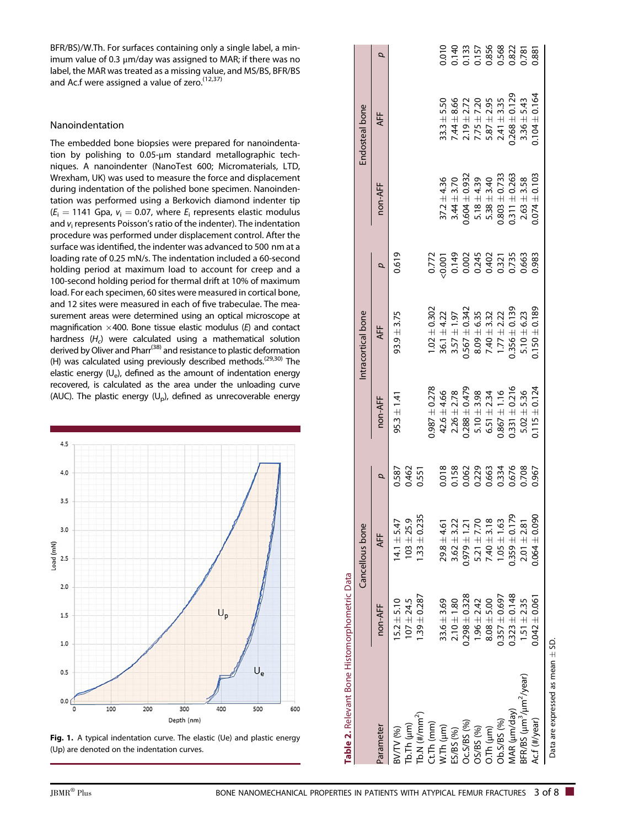BFR/BS)/W.Th. For surfaces containing only a single label, a minimum value of 0.3 μm/day was assigned to MAR; if there was no label, the MAR was treated as a missing value, and MS/BS, BFR/BS and Ac.f were assigned a value of zero.<sup>(12,37)</sup>

#### Nanoindentation

The embedded bone biopsies were prepared for nanoindentation by polishing to 0.05-μm standard metallographic techniques. A nanoindenter (NanoTest 600; Micromaterials, LTD, Wrexham, UK) was used to measure the force and displacement during indentation of the polished bone specimen. Nanoindentation was performed using a Berkovich diamond indenter tip  $(E<sub>i</sub> = 1141$  Gpa,  $v<sub>i</sub> = 0.07$ , where  $E<sub>i</sub>$  represents elastic modulus and  $v_i$  represents Poisson's ratio of the indenter). The indentation procedure was performed under displacement control. After the surface was identified, the indenter was advanced to 500 nm at a loading rate of 0.25 mN/s. The indentation included a 60-second holding period at maximum load to account for creep and a 100-second holding period for thermal drift at 10% of maximum load. For each specimen, 60 sites were measured in cortical bone, and 12 sites were measured in each of five trabeculae. The measurement areas were determined using an optical microscope at magnification  $\times$  400. Bone tissue elastic modulus (E) and contact hardness  $(H<sub>c</sub>)$  were calculated using a mathematical solution derived by Oliver and Pharr(38) and resistance to plastic deformation (H) was calculated using previously described methods.<sup>(29,30)</sup> The elastic energy  $(U_e)$ , defined as the amount of indentation energy recovered, is calculated as the area under the unloading curve (AUC). The plastic energy  $(U_p)$ , defined as unrecoverable energy



Fig. 1. A typical indentation curve. The elastic (Ue) and plastic energy (Up) are denoted on the indentation curves.

| Table 2. Relevant Bone Histomorphometric Data  |                   |                   |                                                    |                                    |                    |       |                   |                                                                          |                                                    |
|------------------------------------------------|-------------------|-------------------|----------------------------------------------------|------------------------------------|--------------------|-------|-------------------|--------------------------------------------------------------------------|----------------------------------------------------|
|                                                |                   | Cancellous bone   |                                                    |                                    | Intracortical bone |       |                   | Endosteal bone                                                           |                                                    |
| arameter                                       | non-AFF           | <b>AFF</b>        | p                                                  | non-AFF                            | <b>AFF</b>         | p     | non-AFF           | <b>AFF</b>                                                               | d                                                  |
| WTV (%)                                        | $5.2 \pm 5.10$    | $14.1 \pm 5.47$   | 0.587                                              | $95.3 \pm 1.41$                    | $93.9 \pm 3.75$    | 0.619 |                   |                                                                          |                                                    |
| $(b.7h (\mu m))$                               | $107 + 24.5$      | $103 + 25.9$      | 0.462<br>0.551                                     |                                    |                    |       |                   |                                                                          |                                                    |
| Ⴆ.N (#/mm $^2$ )                               | $1.39 \pm 0.287$  | $.33 \pm 0.235$   |                                                    |                                    |                    |       |                   |                                                                          |                                                    |
| $t$ . Th (mm)                                  |                   |                   |                                                    | $0.987 \pm 0.278$                  | $1.02 \pm 0.302$   |       |                   |                                                                          |                                                    |
| $V$ .Th $(\mu m)$                              | $33.6 \pm 3.69$   | $29.8 \pm 4.61$   |                                                    | $42.6 \pm 4.66$                    | $36.1 \pm 4.22$    |       | $37.2 \pm 4.36$   | $33.3 + 5.50$                                                            | 0.010                                              |
| <b>(%) S8/S</b>                                | $2.10 \pm 1.80$   | $3.62 + 3.22$     |                                                    | $2.26 \pm 2.78$                    | $3.57 \pm 1.97$    |       | $3.44 \pm 3.70$   | $7.44 \pm 8.66$                                                          |                                                    |
| C.S/BS(%)                                      | $0.298 \pm 0.328$ | $0.979 \pm 1.21$  |                                                    | $0.288 \pm 0.479$                  | $0.567 \pm 0.342$  |       | $0.604 \pm 0.932$ |                                                                          |                                                    |
| <b>C%) SS/SC</b>                               | $1.96 \pm 2.42$   | $5.21 \pm 7.70$   |                                                    |                                    | $8.09 \pm 6.35$    |       | $5.18 \pm 4.39$   | $2.19 \pm 2.72$<br>$7.75 \pm 7.20$<br>$5.87 \pm 2.95$<br>$2.41 \pm 3.35$ |                                                    |
| $0.7h$ ( $\mu$ m)                              | $8.08 \pm 5.00$   | $7.40 \pm 3.18$   |                                                    | $5.10 \pm 3.98$<br>$6.51 \pm 2.34$ | $7.40 \pm 3.32$    |       | $5.38 \pm 3.40$   |                                                                          |                                                    |
| )b.S/BS (%)                                    | $0.357 \pm 0.697$ | $1.05 \pm 1.63$   |                                                    | $0.867 \pm 1.16$                   | $1.77 \pm 2.22$    |       | $0.803 \pm 0.733$ |                                                                          |                                                    |
| /AR (µm/day)                                   | $0.323 \pm 0.148$ | $0.359 \pm 0.179$ | 0.018<br>0.158<br>0.063<br>0.653<br>0.708<br>0.708 | $0.331 \pm 0.216$                  | $0.356 \pm 0.139$  |       | $0.311 \pm 0.263$ | $0.268 \pm 0.129$                                                        | 0.140<br>0.133<br>0.157<br>0.368<br>0.881<br>0.881 |
| $BFR/BS$ ( $\mu$ m $^3/\mu$ m $^2/\gamma$ ear) | $1.51 \pm 2.35$   | $2.01 \pm 2.81$   |                                                    | $5.02 \pm 5.36$                    | $5.10 \pm 6.23$    |       | $2.63 \pm 3.58$   | $3.36 \pm 5.43$                                                          |                                                    |
| Ac.f (#/year)                                  | $0.042 \pm 0.061$ | $0.064 \pm 0.090$ | 0.967                                              | $0.115 \pm 0.124$                  | $0.150 \pm 0.189$  | 0.983 | $0.074 \pm 0.103$ | $0.104 \pm 0.164$                                                        |                                                    |
| Data are expressed as mean $\pm$ SD.           |                   |                   |                                                    |                                    |                    |       |                   |                                                                          |                                                    |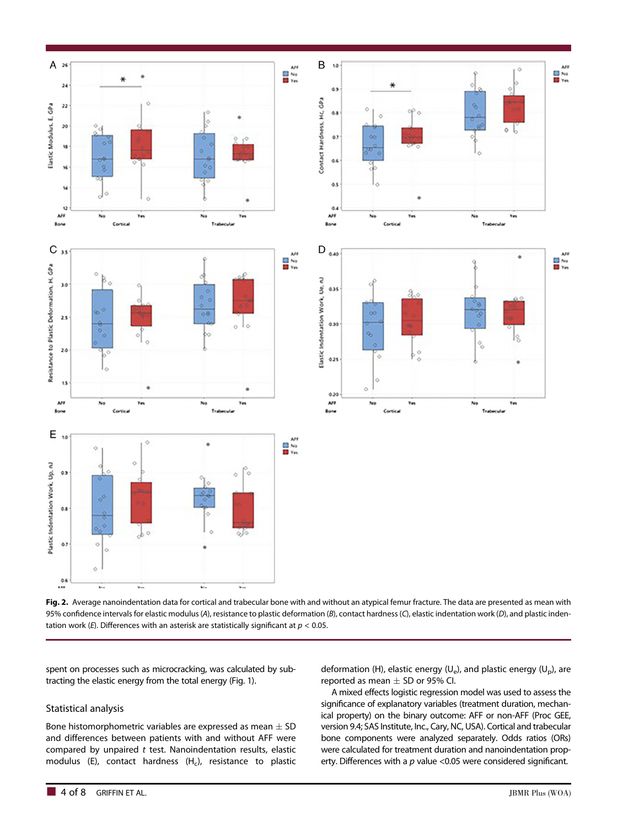

Fig. 2. Average nanoindentation data for cortical and trabecular bone with and without an atypical femur fracture. The data are presented as mean with 95% confidence intervals for elastic modulus (A), resistance to plastic deformation (B), contact hardness (C), elastic indentation work (D), and plastic indentation work (E). Differences with an asterisk are statistically significant at  $p < 0.05$ .

spent on processes such as microcracking, was calculated by subtracting the elastic energy from the total energy (Fig. 1).

#### Statistical analysis

Bone histomorphometric variables are expressed as mean  $\pm$  SD and differences between patients with and without AFF were compared by unpaired  $t$  test. Nanoindentation results, elastic modulus (E), contact hardness  $(H<sub>c</sub>)$ , resistance to plastic

deformation (H), elastic energy ( $U_e$ ), and plastic energy ( $U_p$ ), are reported as mean  $\pm$  SD or 95% CI.

A mixed effects logistic regression model was used to assess the significance of explanatory variables (treatment duration, mechanical property) on the binary outcome: AFF or non-AFF (Proc GEE, version 9.4; SAS Institute, Inc., Cary, NC, USA). Cortical and trabecular bone components were analyzed separately. Odds ratios (ORs) were calculated for treatment duration and nanoindentation property. Differences with a  $p$  value <0.05 were considered significant.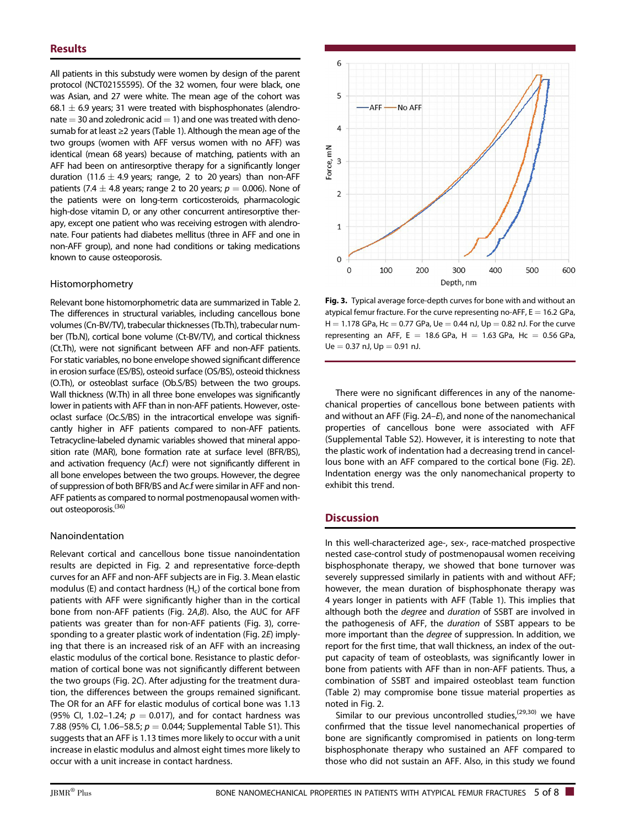All patients in this substudy were women by design of the parent protocol (NCT02155595). Of the 32 women, four were black, one was Asian, and 27 were white. The mean age of the cohort was 68.1  $\pm$  6.9 years; 31 were treated with bisphosphonates (alendronate  $=$  30 and zoledronic acid  $=$  1) and one was treated with denosumab for at least ≥2 years (Table 1). Although the mean age of the two groups (women with AFF versus women with no AFF) was identical (mean 68 years) because of matching, patients with an AFF had been on antiresorptive therapy for a significantly longer duration (11.6  $\pm$  4.9 years; range, 2 to 20 years) than non-AFF patients (7.4  $\pm$  4.8 years; range 2 to 20 years;  $p = 0.006$ ). None of the patients were on long-term corticosteroids, pharmacologic high-dose vitamin D, or any other concurrent antiresorptive therapy, except one patient who was receiving estrogen with alendronate. Four patients had diabetes mellitus (three in AFF and one in non-AFF group), and none had conditions or taking medications known to cause osteoporosis.

#### Histomorphometry

Relevant bone histomorphometric data are summarized in Table 2. The differences in structural variables, including cancellous bone volumes (Cn-BV/TV), trabecular thicknesses (Tb.Th), trabecular number (Tb.N), cortical bone volume (Ct-BV/TV), and cortical thickness (Ct.Th), were not significant between AFF and non-AFF patients. For static variables, no bone envelope showed significant difference in erosion surface (ES/BS), osteoid surface (OS/BS), osteoid thickness (O.Th), or osteoblast surface (Ob.S/BS) between the two groups. Wall thickness (W.Th) in all three bone envelopes was significantly lower in patients with AFF than in non-AFF patients. However, osteoclast surface (Oc.S/BS) in the intracortical envelope was significantly higher in AFF patients compared to non-AFF patients. Tetracycline-labeled dynamic variables showed that mineral apposition rate (MAR), bone formation rate at surface level (BFR/BS), and activation frequency (Ac.f) were not significantly different in all bone envelopes between the two groups. However, the degree of suppression of both BFR/BS and Ac.f were similar in AFF and non-AFF patients as compared to normal postmenopausal women without osteoporosis.<sup>(36)</sup>

#### Nanoindentation

Relevant cortical and cancellous bone tissue nanoindentation results are depicted in Fig. 2 and representative force-depth curves for an AFF and non-AFF subjects are in Fig. 3. Mean elastic modulus (E) and contact hardness  $(H<sub>c</sub>)$  of the cortical bone from patients with AFF were significantly higher than in the cortical bone from non-AFF patients (Fig. 2A,B). Also, the AUC for AFF patients was greater than for non-AFF patients (Fig. 3), corresponding to a greater plastic work of indentation (Fig. 2E) implying that there is an increased risk of an AFF with an increasing elastic modulus of the cortical bone. Resistance to plastic deformation of cortical bone was not significantly different between the two groups (Fig. 2C). After adjusting for the treatment duration, the differences between the groups remained significant. The OR for an AFF for elastic modulus of cortical bone was 1.13 (95% Cl, 1.02-1.24;  $p = 0.017$ ), and for contact hardness was 7.88 (95% CI, 1.06–58.5;  $p = 0.044$ ; Supplemental Table S1). This suggests that an AFF is 1.13 times more likely to occur with a unit increase in elastic modulus and almost eight times more likely to occur with a unit increase in contact hardness.



Fig. 3. Typical average force-depth curves for bone with and without an atypical femur fracture. For the curve representing no-AFF,  $E = 16.2$  GPa,  $H = 1.178$  GPa, Hc = 0.77 GPa, Ue = 0.44 nJ, Up = 0.82 nJ. For the curve representing an AFF, E = 18.6 GPa, H = 1.63 GPa, Hc = 0.56 GPa,  $Ue = 0.37$  nJ,  $Up = 0.91$  nJ.

There were no significant differences in any of the nanomechanical properties of cancellous bone between patients with and without an AFF (Fig. 2A–E), and none of the nanomechanical properties of cancellous bone were associated with AFF (Supplemental Table S2). However, it is interesting to note that the plastic work of indentation had a decreasing trend in cancellous bone with an AFF compared to the cortical bone (Fig. 2E). Indentation energy was the only nanomechanical property to exhibit this trend.

## **Discussion**

In this well-characterized age-, sex-, race-matched prospective nested case-control study of postmenopausal women receiving bisphosphonate therapy, we showed that bone turnover was severely suppressed similarly in patients with and without AFF; however, the mean duration of bisphosphonate therapy was 4 years longer in patients with AFF (Table 1). This implies that although both the degree and duration of SSBT are involved in the pathogenesis of AFF, the duration of SSBT appears to be more important than the degree of suppression. In addition, we report for the first time, that wall thickness, an index of the output capacity of team of osteoblasts, was significantly lower in bone from patients with AFF than in non-AFF patients. Thus, a combination of SSBT and impaired osteoblast team function (Table 2) may compromise bone tissue material properties as noted in Fig. 2.

Similar to our previous uncontrolled studies,<sup> $(29,30)$ </sup> we have confirmed that the tissue level nanomechanical properties of bone are significantly compromised in patients on long-term bisphosphonate therapy who sustained an AFF compared to those who did not sustain an AFF. Also, in this study we found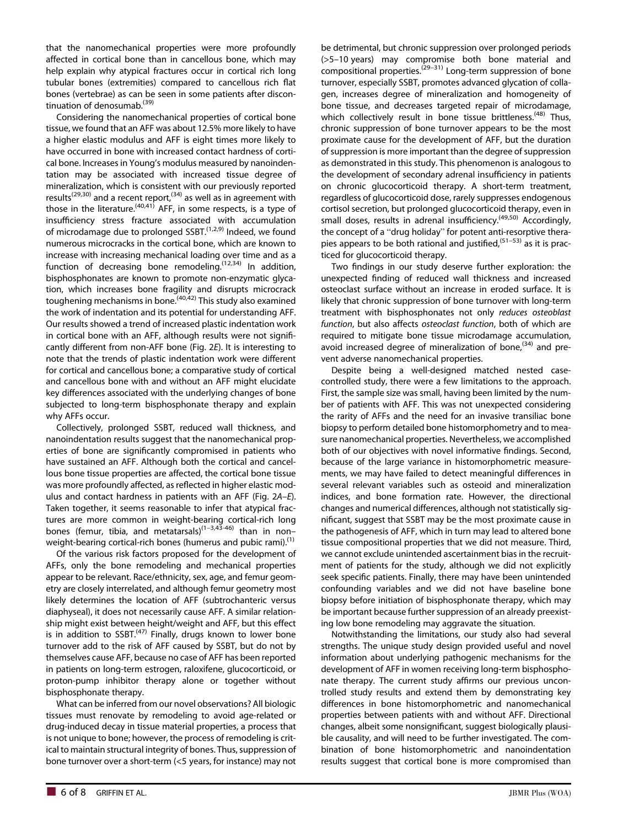that the nanomechanical properties were more profoundly affected in cortical bone than in cancellous bone, which may help explain why atypical fractures occur in cortical rich long tubular bones (extremities) compared to cancellous rich flat bones (vertebrae) as can be seen in some patients after discontinuation of denosumab.<sup>(39)</sup>

Considering the nanomechanical properties of cortical bone tissue, we found that an AFF was about 12.5% more likely to have a higher elastic modulus and AFF is eight times more likely to have occurred in bone with increased contact hardness of cortical bone. Increases in Young's modulus measured by nanoindentation may be associated with increased tissue degree of mineralization, which is consistent with our previously reported results<sup>(29,30)</sup> and a recent report,<sup>(34)</sup> as well as in agreement with those in the literature.<sup>(40,41)</sup> AFF, in some respects, is a type of insufficiency stress fracture associated with accumulation of microdamage due to prolonged  $SSBT<sup>(1,2,9)</sup>$  Indeed, we found numerous microcracks in the cortical bone, which are known to increase with increasing mechanical loading over time and as a function of decreasing bone remodeling.(12,34) In addition, bisphosphonates are known to promote non-enzymatic glycation, which increases bone fragility and disrupts microcrack toughening mechanisms in bone.<sup> $(40,42)$ </sup> This study also examined the work of indentation and its potential for understanding AFF. Our results showed a trend of increased plastic indentation work in cortical bone with an AFF, although results were not significantly different from non-AFF bone (Fig. 2E). It is interesting to note that the trends of plastic indentation work were different for cortical and cancellous bone; a comparative study of cortical and cancellous bone with and without an AFF might elucidate key differences associated with the underlying changes of bone subjected to long-term bisphosphonate therapy and explain why AFFs occur.

Collectively, prolonged SSBT, reduced wall thickness, and nanoindentation results suggest that the nanomechanical properties of bone are significantly compromised in patients who have sustained an AFF. Although both the cortical and cancellous bone tissue properties are affected, the cortical bone tissue was more profoundly affected, as reflected in higher elastic modulus and contact hardness in patients with an AFF (Fig. 2A–E). Taken together, it seems reasonable to infer that atypical fractures are more common in weight-bearing cortical-rich long bones (femur, tibia, and metatarsals)<sup>(1-3,43-46)</sup> than in non– weight-bearing cortical-rich bones (humerus and pubic rami).<sup>(1)</sup>

Of the various risk factors proposed for the development of AFFs, only the bone remodeling and mechanical properties appear to be relevant. Race/ethnicity, sex, age, and femur geometry are closely interrelated, and although femur geometry most likely determines the location of AFF (subtrochanteric versus diaphyseal), it does not necessarily cause AFF. A similar relationship might exist between height/weight and AFF, but this effect is in addition to  $SSBT<sup>(47)</sup>$  Finally, drugs known to lower bone turnover add to the risk of AFF caused by SSBT, but do not by themselves cause AFF, because no case of AFF has been reported in patients on long-term estrogen, raloxifene, glucocorticoid, or proton-pump inhibitor therapy alone or together without bisphosphonate therapy.

What can be inferred from our novel observations? All biologic tissues must renovate by remodeling to avoid age-related or drug-induced decay in tissue material properties, a process that is not unique to bone; however, the process of remodeling is critical to maintain structural integrity of bones. Thus, suppression of bone turnover over a short-term (<5 years, for instance) may not

be detrimental, but chronic suppression over prolonged periods (>5–10 years) may compromise both bone material and compositional properties.<sup> $(29-31)$ </sup> Long-term suppression of bone turnover, especially SSBT, promotes advanced glycation of collagen, increases degree of mineralization and homogeneity of bone tissue, and decreases targeted repair of microdamage, which collectively result in bone tissue brittleness.<sup>(48)</sup> Thus, chronic suppression of bone turnover appears to be the most proximate cause for the development of AFF, but the duration of suppression is more important than the degree of suppression as demonstrated in this study. This phenomenon is analogous to the development of secondary adrenal insufficiency in patients on chronic glucocorticoid therapy. A short-term treatment, regardless of glucocorticoid dose, rarely suppresses endogenous cortisol secretion, but prolonged glucocorticoid therapy, even in small doses, results in adrenal insufficiency.<sup>(49,50)</sup> Accordingly, the concept of a "drug holiday" for potent anti-resorptive therapies appears to be both rational and justified,  $(51-53)$  as it is practiced for glucocorticoid therapy.

Two findings in our study deserve further exploration: the unexpected finding of reduced wall thickness and increased osteoclast surface without an increase in eroded surface. It is likely that chronic suppression of bone turnover with long-term treatment with bisphosphonates not only reduces osteoblast function, but also affects osteoclast function, both of which are required to mitigate bone tissue microdamage accumulation, avoid increased degree of mineralization of bone,  $(34)$  and prevent adverse nanomechanical properties.

Despite being a well-designed matched nested casecontrolled study, there were a few limitations to the approach. First, the sample size was small, having been limited by the number of patients with AFF. This was not unexpected considering the rarity of AFFs and the need for an invasive transiliac bone biopsy to perform detailed bone histomorphometry and to measure nanomechanical properties. Nevertheless, we accomplished both of our objectives with novel informative findings. Second, because of the large variance in histomorphometric measurements, we may have failed to detect meaningful differences in several relevant variables such as osteoid and mineralization indices, and bone formation rate. However, the directional changes and numerical differences, although not statistically significant, suggest that SSBT may be the most proximate cause in the pathogenesis of AFF, which in turn may lead to altered bone tissue compositional properties that we did not measure. Third, we cannot exclude unintended ascertainment bias in the recruitment of patients for the study, although we did not explicitly seek specific patients. Finally, there may have been unintended confounding variables and we did not have baseline bone biopsy before initiation of bisphosphonate therapy, which may be important because further suppression of an already preexisting low bone remodeling may aggravate the situation.

Notwithstanding the limitations, our study also had several strengths. The unique study design provided useful and novel information about underlying pathogenic mechanisms for the development of AFF in women receiving long-term bisphosphonate therapy. The current study affirms our previous uncontrolled study results and extend them by demonstrating key differences in bone histomorphometric and nanomechanical properties between patients with and without AFF. Directional changes, albeit some nonsignificant, suggest biologically plausible causality, and will need to be further investigated. The combination of bone histomorphometric and nanoindentation results suggest that cortical bone is more compromised than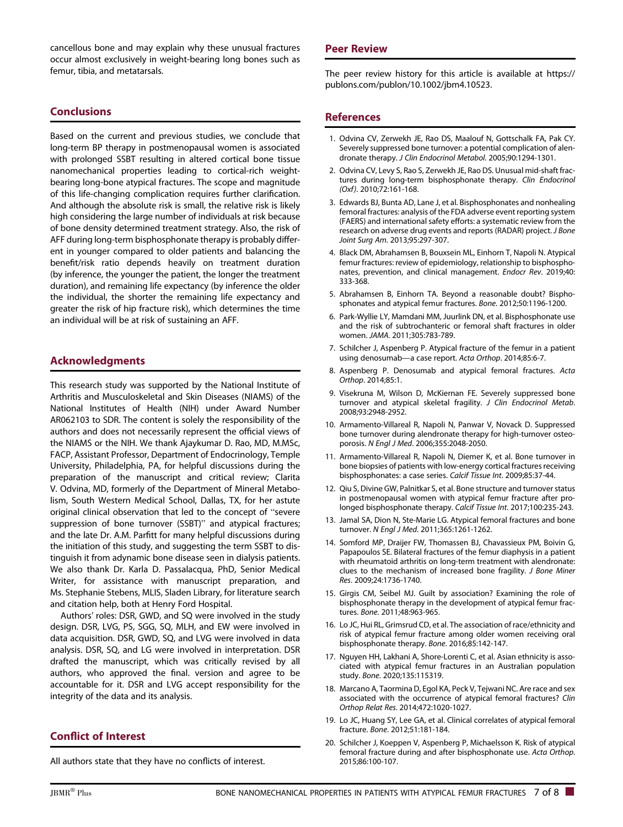cancellous bone and may explain why these unusual fractures occur almost exclusively in weight-bearing long bones such as femur, tibia, and metatarsals.

## **Conclusions**

Based on the current and previous studies, we conclude that long-term BP therapy in postmenopausal women is associated with prolonged SSBT resulting in altered cortical bone tissue nanomechanical properties leading to cortical-rich weightbearing long-bone atypical fractures. The scope and magnitude of this life-changing complication requires further clarification. And although the absolute risk is small, the relative risk is likely high considering the large number of individuals at risk because of bone density determined treatment strategy. Also, the risk of AFF during long-term bisphosphonate therapy is probably different in younger compared to older patients and balancing the benefit/risk ratio depends heavily on treatment duration (by inference, the younger the patient, the longer the treatment duration), and remaining life expectancy (by inference the older the individual, the shorter the remaining life expectancy and greater the risk of hip fracture risk), which determines the time an individual will be at risk of sustaining an AFF.

### Acknowledgments

This research study was supported by the National Institute of Arthritis and Musculoskeletal and Skin Diseases (NIAMS) of the National Institutes of Health (NIH) under Award Number AR062103 to SDR. The content is solely the responsibility of the authors and does not necessarily represent the official views of the NIAMS or the NIH. We thank Ajaykumar D. Rao, MD, M.MSc, FACP, Assistant Professor, Department of Endocrinology, Temple University, Philadelphia, PA, for helpful discussions during the preparation of the manuscript and critical review; Clarita V. Odvina, MD, formerly of the Department of Mineral Metabolism, South Western Medical School, Dallas, TX, for her astute original clinical observation that led to the concept of "severe suppression of bone turnover (SSBT)" and atypical fractures; and the late Dr. A.M. Parfitt for many helpful discussions during the initiation of this study, and suggesting the term SSBT to distinguish it from adynamic bone disease seen in dialysis patients. We also thank Dr. Karla D. Passalacqua, PhD, Senior Medical Writer, for assistance with manuscript preparation, and Ms. Stephanie Stebens, MLIS, Sladen Library, for literature search and citation help, both at Henry Ford Hospital.

Authors' roles: DSR, GWD, and SQ were involved in the study design. DSR, LVG, PS, SGG, SQ, MLH, and EW were involved in data acquisition. DSR, GWD, SQ, and LVG were involved in data analysis. DSR, SQ, and LG were involved in interpretation. DSR drafted the manuscript, which was critically revised by all authors, who approved the final. version and agree to be accountable for it. DSR and LVG accept responsibility for the integrity of the data and its analysis.

#### Conflict of Interest

All authors state that they have no conflicts of interest.

#### Peer Review

The peer review history for this article is available at [https://](https://publons.com/publon/10.1002/jbm4.10523) [publons.com/publon/10.1002/jbm4.10523.](https://publons.com/publon/10.1002/jbm4.10523)

#### References

- 1. Odvina CV, Zerwekh JE, Rao DS, Maalouf N, Gottschalk FA, Pak CY. Severely suppressed bone turnover: a potential complication of alendronate therapy. J Clin Endocrinol Metabol. 2005;90:1294-1301.
- 2. Odvina CV, Levy S, Rao S, Zerwekh JE, Rao DS. Unusual mid-shaft fractures during long-term bisphosphonate therapy. Clin Endocrinol (Oxf). 2010;72:161-168.
- 3. Edwards BJ, Bunta AD, Lane J, et al. Bisphosphonates and nonhealing femoral fractures: analysis of the FDA adverse event reporting system (FAERS) and international safety efforts: a systematic review from the research on adverse drug events and reports (RADAR) project. J Bone Joint Surg Am. 2013;95:297-307.
- 4. Black DM, Abrahamsen B, Bouxsein ML, Einhorn T, Napoli N. Atypical femur fractures: review of epidemiology, relationship to bisphosphonates, prevention, and clinical management. Endocr Rev. 2019;40: 333-368.
- 5. Abrahamsen B, Einhorn TA. Beyond a reasonable doubt? Bisphosphonates and atypical femur fractures. Bone. 2012;50:1196-1200.
- 6. Park-Wyllie LY, Mamdani MM, Juurlink DN, et al. Bisphosphonate use and the risk of subtrochanteric or femoral shaft fractures in older women. JAMA. 2011;305:783-789.
- 7. Schilcher J, Aspenberg P. Atypical fracture of the femur in a patient using denosumab—a case report. Acta Orthop. 2014;85:6-7.
- 8. Aspenberg P. Denosumab and atypical femoral fractures. Acta Orthop. 2014;85:1.
- 9. Visekruna M, Wilson D, McKiernan FE. Severely suppressed bone turnover and atypical skeletal fragility. J Clin Endocrinol Metab. 2008;93:2948-2952.
- 10. Armamento-Villareal R, Napoli N, Panwar V, Novack D. Suppressed bone turnover during alendronate therapy for high-turnover osteoporosis. N Engl J Med. 2006;355:2048-2050.
- 11. Armamento-Villareal R, Napoli N, Diemer K, et al. Bone turnover in bone biopsies of patients with low-energy cortical fractures receiving bisphosphonates: a case series. Calcif Tissue Int. 2009;85:37-44.
- 12. Qiu S, Divine GW, Palnitkar S, et al. Bone structure and turnover status in postmenopausal women with atypical femur fracture after prolonged bisphosphonate therapy. Calcif Tissue Int. 2017;100:235-243.
- 13. Jamal SA, Dion N, Ste-Marie LG. Atypical femoral fractures and bone turnover. N Engl J Med. 2011;365:1261-1262.
- 14. Somford MP, Draijer FW, Thomassen BJ, Chavassieux PM, Boivin G, Papapoulos SE. Bilateral fractures of the femur diaphysis in a patient with rheumatoid arthritis on long-term treatment with alendronate: clues to the mechanism of increased bone fragility. J Bone Miner Res. 2009;24:1736-1740.
- 15. Girgis CM, Seibel MJ. Guilt by association? Examining the role of bisphosphonate therapy in the development of atypical femur fractures. Bone. 2011;48:963-965.
- 16. Lo JC, Hui RL, Grimsrud CD, et al. The association of race/ethnicity and risk of atypical femur fracture among older women receiving oral bisphosphonate therapy. Bone. 2016;85:142-147.
- 17. Nguyen HH, Lakhani A, Shore-Lorenti C, et al. Asian ethnicity is associated with atypical femur fractures in an Australian population study. Bone. 2020;135:115319.
- 18. Marcano A, Taormina D, Egol KA, Peck V, Tejwani NC. Are race and sex associated with the occurrence of atypical femoral fractures? Clin Orthop Relat Res. 2014;472:1020-1027.
- 19. Lo JC, Huang SY, Lee GA, et al. Clinical correlates of atypical femoral fracture. Bone. 2012;51:181-184.
- 20. Schilcher J, Koeppen V, Aspenberg P, Michaelsson K. Risk of atypical femoral fracture during and after bisphosphonate use. Acta Orthop. 2015;86:100-107.